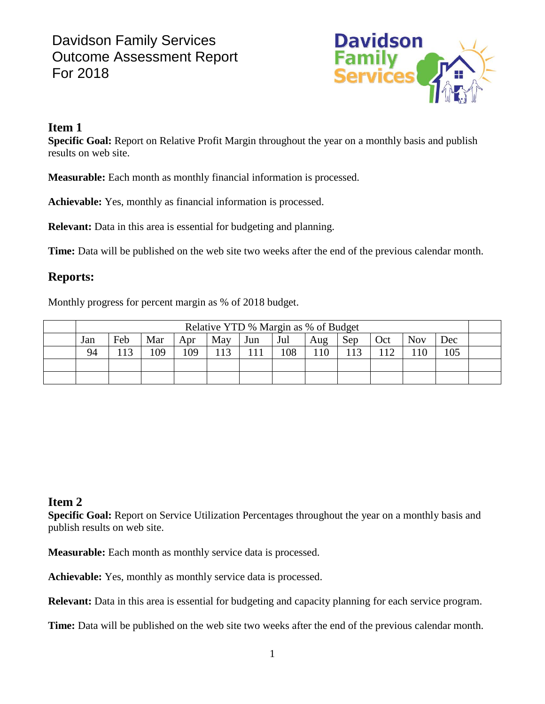# Davidson Family Services Outcome Assessment Report For 2018



#### **Item 1**

**Specific Goal:** Report on Relative Profit Margin throughout the year on a monthly basis and publish results on web site.

**Measurable:** Each month as monthly financial information is processed.

**Achievable:** Yes, monthly as financial information is processed.

**Relevant:** Data in this area is essential for budgeting and planning.

**Time:** Data will be published on the web site two weeks after the end of the previous calendar month.

### **Reports:**

Monthly progress for percent margin as % of 2018 budget.

| Relative YTD % Margin as % of Budget |     |     |     |     |     |     |     |     |     |            |     |  |
|--------------------------------------|-----|-----|-----|-----|-----|-----|-----|-----|-----|------------|-----|--|
| Jan                                  | Feb | Mar | Apr | May | Jun | Jul | Aug | Sep | Oct | <b>Nov</b> | Dec |  |
| 94                                   | 13  | 109 | 109 | 13  |     | 108 | 10  |     | 112 | 10         | 105 |  |
|                                      |     |     |     |     |     |     |     |     |     |            |     |  |
|                                      |     |     |     |     |     |     |     |     |     |            |     |  |

### **Item 2**

**Specific Goal:** Report on Service Utilization Percentages throughout the year on a monthly basis and publish results on web site.

**Measurable:** Each month as monthly service data is processed.

**Achievable:** Yes, monthly as monthly service data is processed.

**Relevant:** Data in this area is essential for budgeting and capacity planning for each service program.

**Time:** Data will be published on the web site two weeks after the end of the previous calendar month.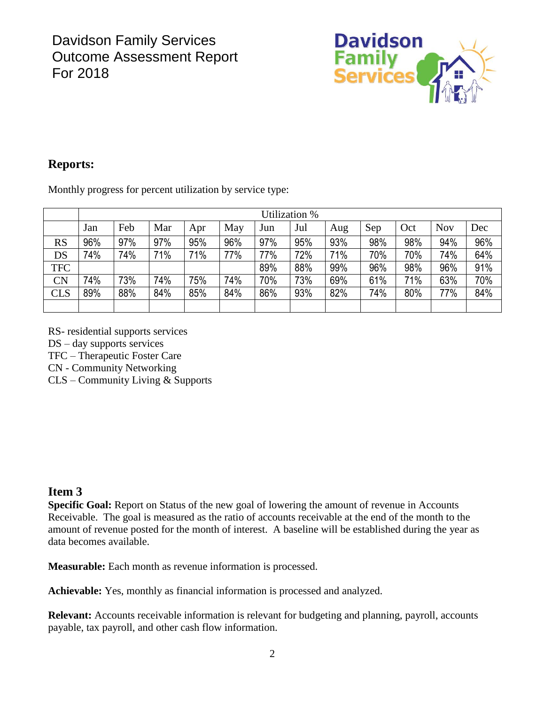

## **Reports:**

Monthly progress for percent utilization by service type:

|            | Utilization % |     |     |     |     |     |     |     |     |     |            |     |
|------------|---------------|-----|-----|-----|-----|-----|-----|-----|-----|-----|------------|-----|
|            | Jan           | Feb | Mar | Apr | May | Jun | Jul | Aug | Sep | Oct | <b>Nov</b> | Dec |
| <b>RS</b>  | 96%           | 97% | 97% | 95% | 96% | 97% | 95% | 93% | 98% | 98% | 94%        | 96% |
| DS         | 74%           | 74% | 71% | 71% | 77% | 77% | 72% | 71% | 70% | 70% | 74%        | 64% |
| <b>TFC</b> |               |     |     |     |     | 89% | 88% | 99% | 96% | 98% | 96%        | 91% |
| CN         | 74%           | 73% | 74% | 75% | 74% | 70% | 73% | 69% | 61% | 71% | 63%        | 70% |
| <b>CLS</b> | 89%           | 88% | 84% | 85% | 84% | 86% | 93% | 82% | 74% | 80% | 77%        | 84% |
|            |               |     |     |     |     |     |     |     |     |     |            |     |

RS- residential supports services

DS – day supports services

TFC – Therapeutic Foster Care

CN - Community Networking

CLS – Community Living & Supports

#### **Item 3**

**Specific Goal:** Report on Status of the new goal of lowering the amount of revenue in Accounts Receivable. The goal is measured as the ratio of accounts receivable at the end of the month to the amount of revenue posted for the month of interest. A baseline will be established during the year as data becomes available.

**Measurable:** Each month as revenue information is processed.

**Achievable:** Yes, monthly as financial information is processed and analyzed.

**Relevant:** Accounts receivable information is relevant for budgeting and planning, payroll, accounts payable, tax payroll, and other cash flow information.